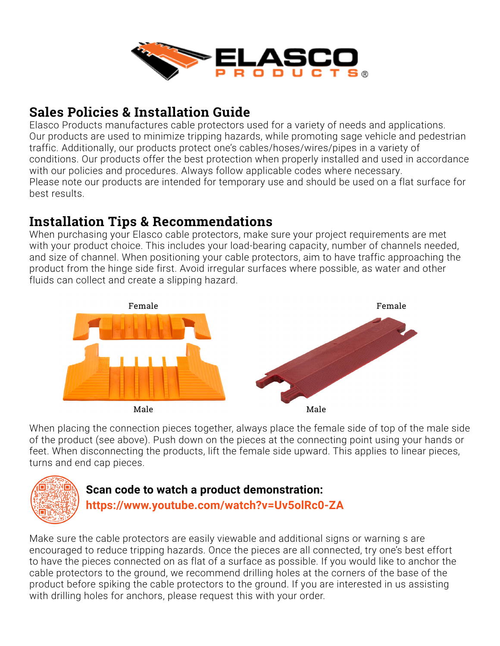

# **Sales Policies & Installation Guide**

Elasco Products manufactures cable protectors used for a variety of needs and applications. Our products are used to minimize tripping hazards, while promoting sage vehicle and pedestrian traffic. Additionally, our products protect one's cables/hoses/wires/pipes in a variety of conditions. Our products offer the best protection when properly installed and used in accordance with our policies and procedures. Always follow applicable codes where necessary. Please note our products are intended for temporary use and should be used on a flat surface for best results.

### **Installation Tips & Recommendations**

When purchasing your Elasco cable protectors, make sure your project requirements are met with your product choice. This includes your load-bearing capacity, number of channels needed, and size of channel. When positioning your cable protectors, aim to have traffic approaching the product from the hinge side first. Avoid irregular surfaces where possible, as water and other fluids can collect and create a slipping hazard.



When placing the connection pieces together, always place the female side of top of the male side of the product (see above). Push down on the pieces at the connecting point using your hands or feet. When disconnecting the products, lift the female side upward. This applies to linear pieces, turns and end cap pieces.



#### **Scan code to watch a product demonstration:**

**https://www.youtube.com/watch?v=Uv5olRc0-ZA**

Make sure the cable protectors are easily viewable and additional signs or warning s are encouraged to reduce tripping hazards. Once the pieces are all connected, try one's best effort to have the pieces connected on as flat of a surface as possible. If you would like to anchor the cable protectors to the ground, we recommend drilling holes at the corners of the base of the product before spiking the cable protectors to the ground. If you are interested in us assisting with drilling holes for anchors, please request this with your order.